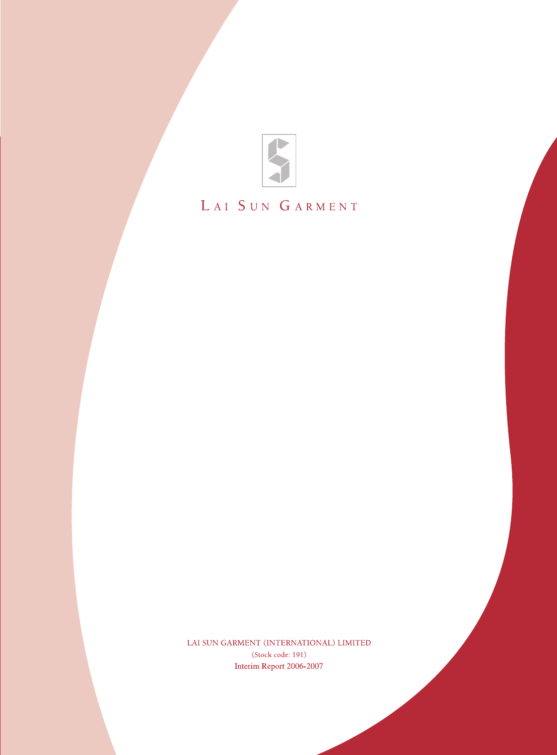

# LAI SUN GARMENT

LAI SUN GARMENT (INTERNATIONAL) LIMITED (Stock code: 191) Interim Report 2006-2007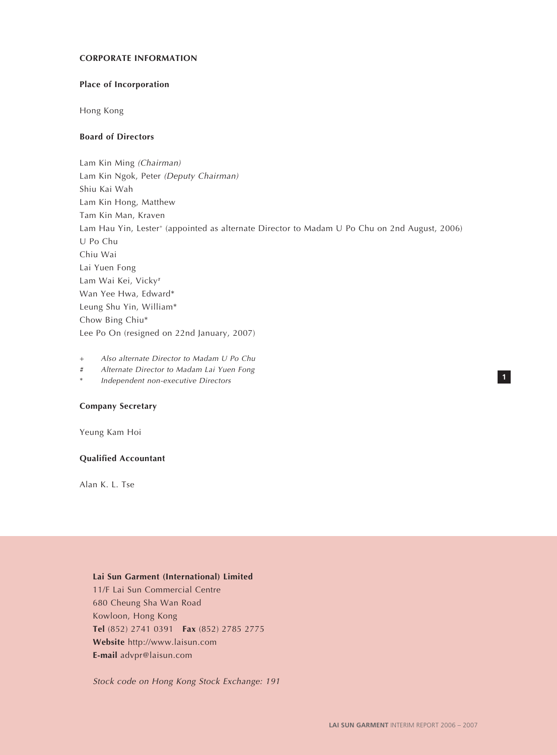#### **CORPORATE INFORMATION**

# **Place of Incorporation**

Hong Kong

# **Board of Directors**

Lam Kin Ming (Chairman) Lam Kin Ngok, Peter (Deputy Chairman) Shiu Kai Wah Lam Kin Hong, Matthew Tam Kin Man, Kraven Lam Hau Yin, Lester<sup>+</sup> (appointed as alternate Director to Madam U Po Chu on 2nd August, 2006) U Po Chu Chiu Wai Lai Yuen Fong Lam Wai Kei, Vicky# Wan Yee Hwa, Edward\* Leung Shu Yin, William\* Chow Bing Chiu\* Lee Po On (resigned on 22nd January, 2007)

+ Also alternate Director to Madam U Po Chu

- # Alternate Director to Madam Lai Yuen Fong
- Independent non-executive Directors

# **Company Secretary**

Yeung Kam Hoi

# **Qualified Accountant**

Alan K. L. Tse

#### **Lai Sun Garment (International) Limited**

11/F Lai Sun Commercial Centre 680 Cheung Sha Wan Road Kowloon, Hong Kong **Tel** (852) 2741 0391 **Fax** (852) 2785 2775 **Website** http://www.laisun.com **E-mail** advpr@laisun.com

Stock code on Hong Kong Stock Exchange: 191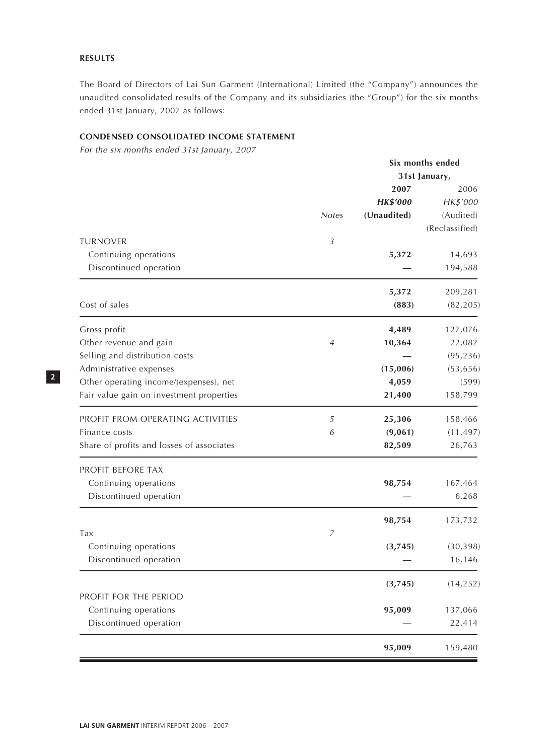# **RESULTS**

The Board of Directors of Lai Sun Garment (International) Limited (the "Company") announces the unaudited consolidated results of the Company and its subsidiaries (the "Group") for the six months ended 31st January, 2007 as follows:

# **CONDENSED CONSOLIDATED INCOME STATEMENT**

For the six months ended 31st January, 2007

|                                           |                | Six months ended |                |  |
|-------------------------------------------|----------------|------------------|----------------|--|
|                                           |                | 31st January,    |                |  |
|                                           |                | 2007             | 2006           |  |
|                                           |                | <b>HK\$'000</b>  | HK\$'000       |  |
|                                           | <b>Notes</b>   | (Unaudited)      | (Audited)      |  |
|                                           |                |                  | (Reclassified) |  |
| <b>TURNOVER</b>                           | $\mathfrak{Z}$ |                  |                |  |
| Continuing operations                     |                | 5,372            | 14,693         |  |
| Discontinued operation                    |                |                  | 194,588        |  |
|                                           |                | 5,372            | 209,281        |  |
| Cost of sales                             |                | (883)            | (82, 205)      |  |
| Gross profit                              |                | 4,489            | 127,076        |  |
| Other revenue and gain                    | 4              | 10,364           | 22,082         |  |
| Selling and distribution costs            |                |                  | (95, 236)      |  |
| Administrative expenses                   |                | (15,006)         | (53, 656)      |  |
| Other operating income/(expenses), net    |                | 4,059            | (599)          |  |
| Fair value gain on investment properties  |                | 21,400           | 158,799        |  |
| PROFIT FROM OPERATING ACTIVITIES          | 5              | 25,306           | 158,466        |  |
| Finance costs                             | 6              | (9,061)          | (11, 497)      |  |
| Share of profits and losses of associates |                | 82,509           | 26,763         |  |
| PROFIT BEFORE TAX                         |                |                  |                |  |
| Continuing operations                     |                | 98,754           | 167,464        |  |
| Discontinued operation                    |                |                  | 6,268          |  |
|                                           |                | 98,754           | 173,732        |  |
| Tax                                       | $\overline{z}$ |                  |                |  |
| Continuing operations                     |                | (3,745)          | (30, 398)      |  |
| Discontinued operation                    |                |                  | 16,146         |  |
|                                           |                | (3,745)          | (14, 252)      |  |
| PROFIT FOR THE PERIOD                     |                |                  |                |  |
| Continuing operations                     |                | 95,009           | 137,066        |  |
| Discontinued operation                    |                |                  | 22,414         |  |
|                                           |                | 95,009           | 159,480        |  |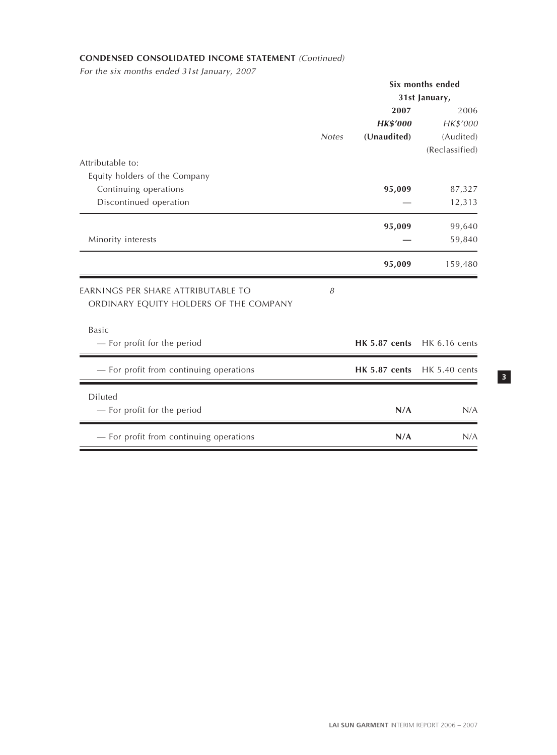# **CONDENSED CONSOLIDATED INCOME STATEMENT** (Continued)

For the six months ended 31st January, 2007

|                                                                              |              |                      | Six months ended     |
|------------------------------------------------------------------------------|--------------|----------------------|----------------------|
|                                                                              |              |                      | 31st January,        |
|                                                                              |              | 2007                 | 2006                 |
|                                                                              |              | <b>HK\$'000</b>      | HK\$'000             |
|                                                                              | <b>Notes</b> | (Unaudited)          | (Audited)            |
|                                                                              |              |                      | (Reclassified)       |
| Attributable to:                                                             |              |                      |                      |
| Equity holders of the Company                                                |              |                      |                      |
| Continuing operations                                                        |              | 95,009               | 87,327               |
| Discontinued operation                                                       |              |                      | 12,313               |
|                                                                              |              | 95,009               | 99,640               |
| Minority interests                                                           |              |                      | 59,840               |
|                                                                              |              | 95,009               | 159,480              |
| EARNINGS PER SHARE ATTRIBUTABLE TO<br>ORDINARY EQUITY HOLDERS OF THE COMPANY | 8            |                      |                      |
|                                                                              |              |                      |                      |
| <b>Basic</b>                                                                 |              |                      |                      |
| - For profit for the period                                                  |              | <b>HK 5.87 cents</b> | HK 6.16 cents        |
| - For profit from continuing operations                                      |              | <b>HK 5.87 cents</b> | <b>HK 5.40 cents</b> |
| Diluted                                                                      |              |                      |                      |
| - For profit for the period                                                  |              | N/A                  | N/A                  |
| - For profit from continuing operations                                      |              | N/A                  | N/A                  |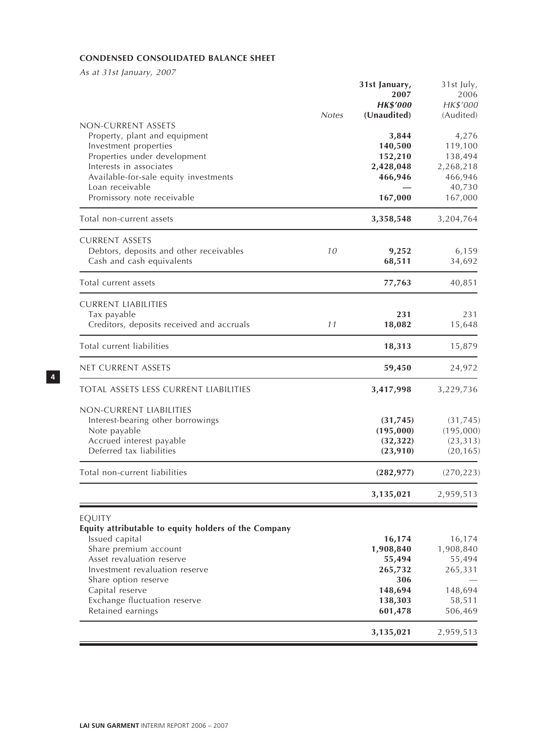# **CONDENSED CONSOLIDATED BALANCE SHEET**

As at 31st January, 2007

|                                                                                                                                                                                                                                                                          | <b>Notes</b> | 31st January,<br>2007<br><b>HK\$'000</b><br>(Unaudited)                          | 31st July,<br>2006<br>HK\$'000<br>(Audited)                              |
|--------------------------------------------------------------------------------------------------------------------------------------------------------------------------------------------------------------------------------------------------------------------------|--------------|----------------------------------------------------------------------------------|--------------------------------------------------------------------------|
| NON-CURRENT ASSETS<br>Property, plant and equipment<br>Investment properties<br>Properties under development<br>Interests in associates<br>Available-for-sale equity investments<br>Loan receivable<br>Promissory note receivable                                        |              | 3,844<br>140,500<br>152,210<br>2,428,048<br>466,946<br>167,000                   | 4,276<br>119,100<br>138,494<br>2,268,218<br>466,946<br>40,730<br>167,000 |
| Total non-current assets                                                                                                                                                                                                                                                 |              | 3,358,548                                                                        | 3,204,764                                                                |
| <b>CURRENT ASSETS</b><br>Debtors, deposits and other receivables<br>Cash and cash equivalents                                                                                                                                                                            | 10           | 9,252<br>68,511                                                                  | 6,159<br>34,692                                                          |
| Total current assets                                                                                                                                                                                                                                                     |              | 77,763                                                                           | 40,851                                                                   |
| <b>CURRENT LIABILITIES</b><br>Tax payable<br>Creditors, deposits received and accruals                                                                                                                                                                                   | 11           | 231<br>18,082                                                                    | 231<br>15,648                                                            |
| Total current liabilities                                                                                                                                                                                                                                                |              | 18,313                                                                           | 15,879                                                                   |
| net current assets                                                                                                                                                                                                                                                       |              | 59,450                                                                           | 24,972                                                                   |
| <b>TOTAL ASSETS LESS CURRENT LIABILITIES</b>                                                                                                                                                                                                                             |              | 3,417,998                                                                        | 3,229,736                                                                |
| NON-CURRENT LIABILITIES<br>Interest-bearing other borrowings<br>Note payable<br>Accrued interest payable<br>Deferred tax liabilities                                                                                                                                     |              | (31, 745)<br>(195,000)<br>(32, 322)<br>(23, 910)                                 | (31, 745)<br>(195,000)<br>(23, 313)<br>(20, 165)                         |
| Total non-current liabilities                                                                                                                                                                                                                                            |              | (282, 977)                                                                       | (270, 223)                                                               |
|                                                                                                                                                                                                                                                                          |              | 3,135,021                                                                        | 2,959,513                                                                |
| EQUITY<br>Equity attributable to equity holders of the Company<br>Issued capital<br>Share premium account<br>Asset revaluation reserve<br>Investment revaluation reserve<br>Share option reserve<br>Capital reserve<br>Exchange fluctuation reserve<br>Retained earnings |              | 16,174<br>1,908,840<br>55,494<br>265,732<br>306<br>148,694<br>138,303<br>601,478 | 16,174<br>1,908,840<br>55,494<br>265,331<br>148,694<br>58,511<br>506,469 |
|                                                                                                                                                                                                                                                                          |              | 3,135,021                                                                        | 2,959,513                                                                |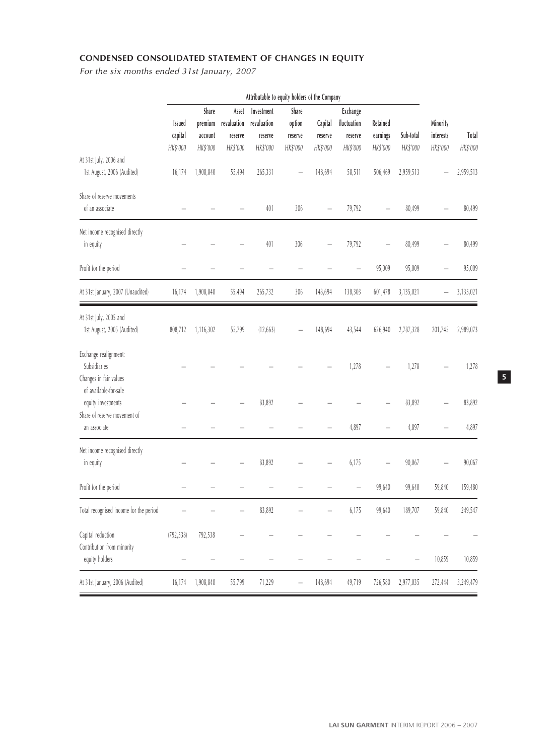# **CONDENSED CONSOLIDATED STATEMENT OF CHANGES IN EQUITY**

For the six months ended 31st January, 2007

|                                                                             | Attributable to equity holders of the Company |                                         |                                             |                                                  |                                        |                                |                                                |                                  |                       |                                   |                   |
|-----------------------------------------------------------------------------|-----------------------------------------------|-----------------------------------------|---------------------------------------------|--------------------------------------------------|----------------------------------------|--------------------------------|------------------------------------------------|----------------------------------|-----------------------|-----------------------------------|-------------------|
|                                                                             | Issued<br>capital<br>HK\$'000                 | Share<br>premium<br>account<br>HK\$'000 | Asset<br>revaluation<br>reserve<br>HK\$'000 | Investment<br>revaluation<br>reserve<br>HK\$'000 | Share<br>option<br>reserve<br>HK\$'000 | Capital<br>reserve<br>HK\$'000 | Exchange<br>fluctuation<br>reserve<br>HK\$'000 | Retained<br>earnings<br>HK\$'000 | Sub-total<br>HK\$'000 | Minority<br>interests<br>HK\$'000 | Total<br>HK\$'000 |
| At 31st July, 2006 and<br>1st August, 2006 (Audited)                        | 16,174                                        | 1,908,840                               | 55,494                                      | 265,331                                          |                                        | 148,694                        | 58,511                                         | 506,469                          | 2,959,513             |                                   | 2,959,513         |
| Share of reserve movements<br>of an associate                               |                                               |                                         |                                             | 401                                              | 306                                    |                                | 79,792                                         |                                  | 80,499                |                                   | 80,499            |
| Net income recognised directly<br>in equity                                 |                                               |                                         |                                             | 401                                              | 306                                    |                                | 79,792                                         |                                  | 80,499                |                                   | 80,499            |
| Profit for the period                                                       |                                               |                                         |                                             |                                                  |                                        |                                |                                                | 95,009                           | 95,009                |                                   | 95,009            |
| At 31st January, 2007 (Unaudited)                                           | 16,174                                        | 1,908,840                               | 55,494                                      | 265,732                                          | 306                                    | 148,694                        | 138,303                                        | 601,478                          | 3,135,021             |                                   | 3,135,021         |
| At 31st July, 2005 and<br>1st August, 2005 (Audited)                        | 808,712                                       | 1,116,302                               | 55,799                                      | (12, 663)                                        |                                        | 148,694                        | 43,544                                         | 626,940                          | 2,787,328             | 201,745                           | 2,989,073         |
| Exchange realignment:<br>Subsidiaries<br>Changes in fair values             |                                               |                                         |                                             |                                                  |                                        |                                | 1,278                                          |                                  | 1,278                 |                                   | 1,278             |
| of available-for-sale<br>equity investments<br>Share of reserve movement of |                                               |                                         |                                             | 83,892                                           |                                        |                                |                                                |                                  | 83,892                |                                   | 83,892            |
| an associate                                                                |                                               |                                         |                                             |                                                  |                                        |                                | 4,897                                          |                                  | 4,897                 |                                   | 4,897             |
| Net income recognised directly<br>in equity                                 |                                               |                                         |                                             | 83,892                                           |                                        |                                | 6,175                                          |                                  | 90,067                |                                   | 90,067            |
| Profit for the period                                                       |                                               |                                         |                                             |                                                  |                                        |                                |                                                | 99,640                           | 99,640                | 59,840                            | 159,480           |
| Total recognised income for the period                                      |                                               |                                         |                                             | 83,892                                           |                                        |                                | 6,175                                          | 99,640                           | 189,707               | 59,840                            | 249,547           |
| Capital reduction<br>Contribution from minority<br>equity holders           | (792, 538)                                    | 792,538                                 |                                             |                                                  |                                        |                                |                                                |                                  |                       | 10,859                            | 10,859            |
| At 31st January, 2006 (Audited)                                             | 16,174                                        | 1,908,840                               | 55,799                                      | 71,229                                           |                                        | 148,694                        | 49,719                                         | 726,580                          | 2,977,035             | 272,444                           | 3,249,479         |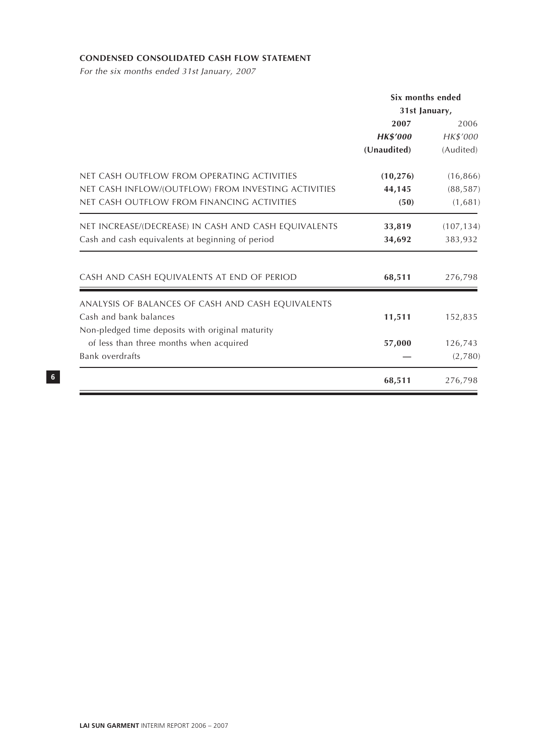# **CONDENSED CONSOLIDATED CASH FLOW STATEMENT**

For the six months ended 31st January, 2007

|                                                                                                                                                 | Six months ended<br>31st January,      |                                   |
|-------------------------------------------------------------------------------------------------------------------------------------------------|----------------------------------------|-----------------------------------|
|                                                                                                                                                 | 2007<br><b>HK\$'000</b><br>(Unaudited) | 2006<br>HK\$'000<br>(Audited)     |
| NET CASH OUTFLOW FROM OPERATING ACTIVITIES<br>NET CASH INFLOW/(OUTFLOW) FROM INVESTING ACTIVITIES<br>NET CASH OUTFLOW FROM FINANCING ACTIVITIES | (10, 276)<br>44,145<br>(50)            | (16, 866)<br>(88, 587)<br>(1,681) |
| NET INCREASE/(DECREASE) IN CASH AND CASH EQUIVALENTS<br>Cash and cash equivalents at beginning of period                                        | 33,819<br>34,692                       | (107, 134)<br>383,932             |
| CASH AND CASH EQUIVALENTS AT END OF PERIOD                                                                                                      | 68,511                                 | 276,798                           |
| ANALYSIS OF BALANCES OF CASH AND CASH EQUIVALENTS<br>Cash and bank balances<br>Non-pledged time deposits with original maturity                 | 11,511                                 | 152,835                           |
| of less than three months when acquired<br><b>Bank overdrafts</b>                                                                               | 57,000                                 | 126,743<br>(2,780)                |
|                                                                                                                                                 | 68,511                                 | 276,798                           |

**LAI SUN GARMENT** INTERIM REPORT 2006 – 2007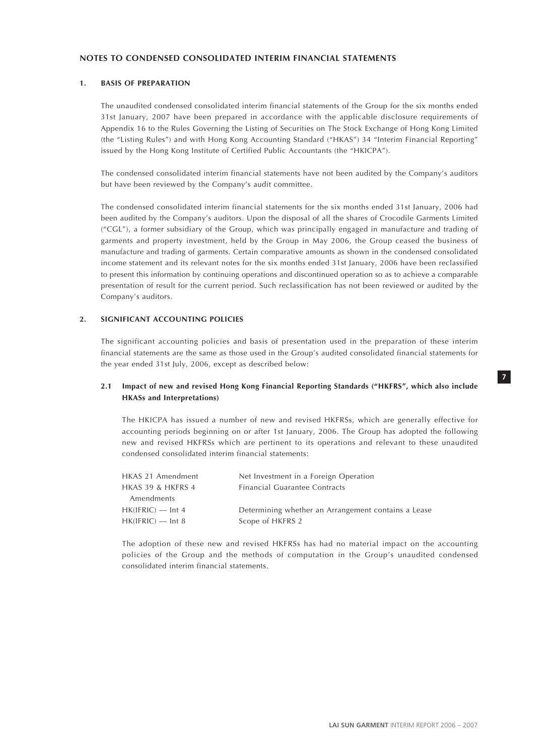# **1. BASIS OF PREPARATION**

The unaudited condensed consolidated interim financial statements of the Group for the six months ended 31st January, 2007 have been prepared in accordance with the applicable disclosure requirements of Appendix 16 to the Rules Governing the Listing of Securities on The Stock Exchange of Hong Kong Limited (the "Listing Rules") and with Hong Kong Accounting Standard ("HKAS") 34 "Interim Financial Reporting" issued by the Hong Kong Institute of Certified Public Accountants (the "HKICPA").

The condensed consolidated interim financial statements have not been audited by the Company's auditors but have been reviewed by the Company's audit committee.

The condensed consolidated interim financial statements for the six months ended 31st January, 2006 had been audited by the Company's auditors. Upon the disposal of all the shares of Crocodile Garments Limited ("CGL"), a former subsidiary of the Group, which was principally engaged in manufacture and trading of garments and property investment, held by the Group in May 2006, the Group ceased the business of manufacture and trading of garments. Certain comparative amounts as shown in the condensed consolidated income statement and its relevant notes for the six months ended 31st January, 2006 have been reclassified to present this information by continuing operations and discontinued operation so as to achieve a comparable presentation of result for the current period. Such reclassification has not been reviewed or audited by the Company's auditors.

#### **2. SIGNIFICANT ACCOUNTING POLICIES**

The significant accounting policies and basis of presentation used in the preparation of these interim financial statements are the same as those used in the Group's audited consolidated financial statements for the year ended 31st July, 2006, except as described below:

#### **2.1 Impact of new and revised Hong Kong Financial Reporting Standards ("HKFRS", which also include HKASs and Interpretations)**

The HKICPA has issued a number of new and revised HKFRSs, which are generally effective for accounting periods beginning on or after 1st January, 2006. The Group has adopted the following new and revised HKFRSs which are pertinent to its operations and relevant to these unaudited condensed consolidated interim financial statements:

| HKAS 21 Amendment   | Net Investment in a Foreign Operation               |
|---------------------|-----------------------------------------------------|
| HKAS 39 & HKFRS 4   | Financial Guarantee Contracts                       |
| Amendments          |                                                     |
| $HK(IFRIC)$ — Int 4 | Determining whether an Arrangement contains a Lease |
| $HK(IFRIC)$ — Int 8 | Scope of HKFRS 2                                    |

The adoption of these new and revised HKFRSs has had no material impact on the accounting policies of the Group and the methods of computation in the Group's unaudited condensed consolidated interim financial statements.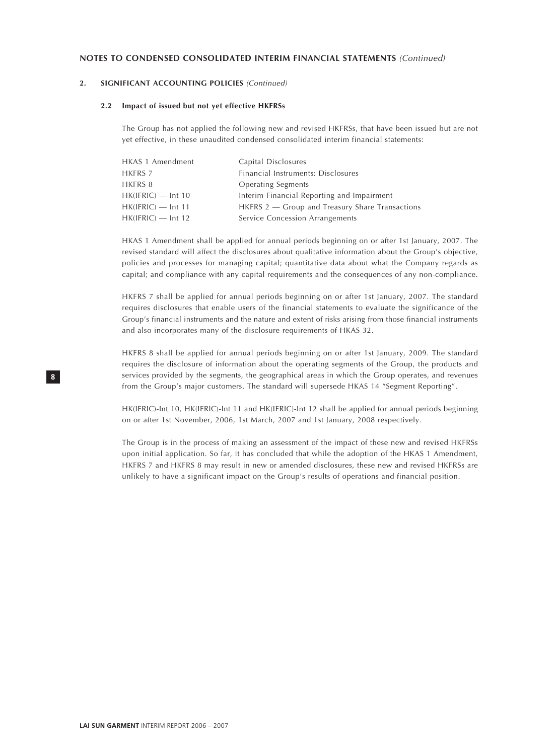# **2. SIGNIFICANT ACCOUNTING POLICIES** (Continued)

#### **2.2 Impact of issued but not yet effective HKFRSs**

The Group has not applied the following new and revised HKFRSs, that have been issued but are not yet effective, in these unaudited condensed consolidated interim financial statements:

| HKAS 1 Amendment     | Capital Disclosures                             |
|----------------------|-------------------------------------------------|
| HKFRS 7              | Financial Instruments: Disclosures              |
| HKFRS 8              | <b>Operating Segments</b>                       |
| $HK(IFRIC)$ — Int 10 | Interim Financial Reporting and Impairment      |
| $HK(IFRIC)$ — Int 11 | HKFRS 2 – Group and Treasury Share Transactions |
| $HK(IFRIC)$ — Int 12 | Service Concession Arrangements                 |

HKAS 1 Amendment shall be applied for annual periods beginning on or after 1st January, 2007. The revised standard will affect the disclosures about qualitative information about the Group's objective, policies and processes for managing capital; quantitative data about what the Company regards as capital; and compliance with any capital requirements and the consequences of any non-compliance.

HKFRS 7 shall be applied for annual periods beginning on or after 1st January, 2007. The standard requires disclosures that enable users of the financial statements to evaluate the significance of the Group's financial instruments and the nature and extent of risks arising from those financial instruments and also incorporates many of the disclosure requirements of HKAS 32.

HKFRS 8 shall be applied for annual periods beginning on or after 1st January, 2009. The standard requires the disclosure of information about the operating segments of the Group, the products and services provided by the segments, the geographical areas in which the Group operates, and revenues from the Group's major customers. The standard will supersede HKAS 14 "Segment Reporting".

HK(IFRIC)-Int 10, HK(IFRIC)-Int 11 and HK(IFRIC)-Int 12 shall be applied for annual periods beginning on or after 1st November, 2006, 1st March, 2007 and 1st January, 2008 respectively.

The Group is in the process of making an assessment of the impact of these new and revised HKFRSs upon initial application. So far, it has concluded that while the adoption of the HKAS 1 Amendment, HKFRS 7 and HKFRS 8 may result in new or amended disclosures, these new and revised HKFRSs are unlikely to have a significant impact on the Group's results of operations and financial position.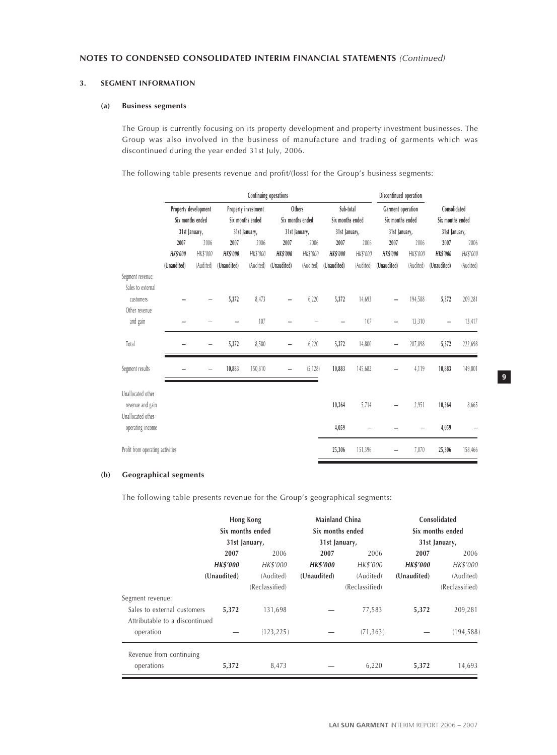#### **3. SEGMENT INFORMATION**

#### **(a) Business segments**

The Group is currently focusing on its property development and property investment businesses. The Group was also involved in the business of manufacture and trading of garments which was discontinued during the year ended 31st July, 2006.

The following table presents revenue and profit/(loss) for the Group's business segments:

|                                                            | Continuing operations |                      |                 |                     |                 |                  |                  | Discontinued operation |                   |           |                                   |           |
|------------------------------------------------------------|-----------------------|----------------------|-----------------|---------------------|-----------------|------------------|------------------|------------------------|-------------------|-----------|-----------------------------------|-----------|
|                                                            |                       | Property development |                 | Property investment |                 | Others           | Sub-total        |                        | Garment operation |           | Consolidated                      |           |
|                                                            |                       | Six months ended     |                 | Six months ended    |                 | Six months ended | Six months ended |                        | Six months ended  |           | Six months ended<br>31st January, |           |
|                                                            |                       | 31st January,        |                 | 31st January,       |                 | 31st January,    | 31st January,    |                        | 31st January,     |           |                                   |           |
|                                                            | 2007                  | 2006                 | 2007            | 2006                | 2007            | 2006             | 2007             | 2006                   | 2007              | 2006      | 2007                              | 2006      |
|                                                            | <b>HK\$'000</b>       | HK\$'000             | <b>HK\$'000</b> | HK\$'000            | <b>HK\$'000</b> | HK\$'000         | <b>HK\$'000</b>  | HK\$'000               | <b>HK\$'000</b>   | HK\$'000  | <b>HK\$'000</b>                   | HK\$'000  |
|                                                            | (Unaudited)           | (Audited)            | (Unaudited)     | (Audited)           | (Unaudited)     | (Audited)        | (Unaudited)      | (Audited)              | (Unaudited)       | (Audited) | (Unaudited)                       | (Audited) |
| Segment revenue:<br>Sales to external                      |                       |                      |                 |                     |                 |                  |                  |                        |                   |           |                                   |           |
| customers<br>Other revenue                                 |                       |                      | 5,372           | 8,473               |                 | 6,220            | 5,372            | 14,693                 |                   | 194,588   | 5,372                             | 209,281   |
| and gain                                                   |                       |                      |                 | 107                 |                 |                  |                  | 107                    |                   | 13,310    |                                   | 13,417    |
| Total                                                      |                       |                      | 5,372           | 8,580               |                 | 6,220            | 5,372            | 14,800                 |                   | 207,898   | 5,372                             | 222,698   |
| Segment results                                            |                       |                      | 10,883          | 150,810             |                 | (5, 128)         | 10,883           | 145,682                |                   | 4,119     | 10,883                            | 149,801   |
| Unallocated other<br>revenue and gain<br>Unallocated other |                       |                      |                 |                     |                 |                  | 10,364           | 5,714                  |                   | 2,951     | 10,364                            | 8,665     |
| operating income                                           |                       |                      |                 |                     |                 |                  | 4,059            |                        |                   |           | 4,059                             |           |
| Profit from operating activities                           |                       |                      |                 |                     |                 |                  | 25,306           | 151,396                |                   | 7,070     | 25,306                            | 158,466   |

### **(b) Geographical segments**

The following table presents revenue for the Group's geographical segments:

|                                                                                   | Hong Kong<br>Six months ended<br>31st January, |                             | <b>Mainland China</b><br>Six months ended<br>31st January, |                             | Consolidated<br>Six months ended<br>31st January, |                             |  |
|-----------------------------------------------------------------------------------|------------------------------------------------|-----------------------------|------------------------------------------------------------|-----------------------------|---------------------------------------------------|-----------------------------|--|
|                                                                                   | 2007                                           | 2006                        | 2007                                                       | 2006                        | 2007                                              | 2006                        |  |
|                                                                                   | <b>HK\$'000</b>                                | HK\$'000                    | <b>HK\$'000</b>                                            | HK\$'000                    | <b>HK\$'000</b>                                   | HK\$'000                    |  |
|                                                                                   | (Unaudited)                                    | (Audited)<br>(Reclassified) | (Unaudited)                                                | (Audited)<br>(Reclassified) | (Unaudited)                                       | (Audited)<br>(Reclassified) |  |
| Segment revenue:<br>Sales to external customers<br>Attributable to a discontinued | 5,372                                          | 131,698                     |                                                            | 77,583                      | 5,372                                             | 209,281                     |  |
| operation                                                                         |                                                | (123, 225)                  |                                                            | (71, 363)                   |                                                   | (194, 588)                  |  |
| Revenue from continuing<br>operations                                             | 5,372                                          | 8,473                       |                                                            | 6,220                       | 5,372                                             | 14,693                      |  |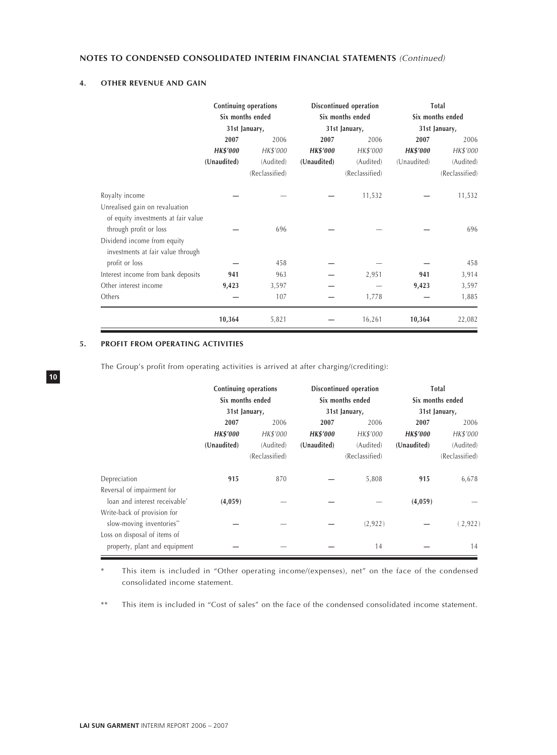# **4. OTHER REVENUE AND GAIN**

|                                     | Continuing operations<br>Six months ended |                |                 | Discontinued operation<br>Six months ended | Total<br>Six months ended |                |  |
|-------------------------------------|-------------------------------------------|----------------|-----------------|--------------------------------------------|---------------------------|----------------|--|
|                                     |                                           | 31st January,  |                 | 31st January,                              |                           | 31st January,  |  |
|                                     | 2007                                      | 2006           | 2007            | 2006                                       | 2007                      | 2006           |  |
|                                     | <b>HK\$'000</b>                           | HK\$'000       | <b>HK\$'000</b> | HK\$'000                                   | <b>HK\$'000</b>           | HK\$'000       |  |
|                                     | (Unaudited)                               | (Audited)      | (Unaudited)     | (Audited)                                  | (Unaudited)               | (Audited)      |  |
|                                     |                                           | (Reclassified) |                 | (Reclassified)                             |                           | (Reclassified) |  |
| Royalty income                      |                                           |                |                 | 11,532                                     |                           | 11,532         |  |
| Unrealised gain on revaluation      |                                           |                |                 |                                            |                           |                |  |
| of equity investments at fair value |                                           |                |                 |                                            |                           |                |  |
| through profit or loss              |                                           | 696            |                 |                                            |                           | 696            |  |
| Dividend income from equity         |                                           |                |                 |                                            |                           |                |  |
| investments at fair value through   |                                           |                |                 |                                            |                           |                |  |
| profit or loss                      |                                           | 458            |                 |                                            |                           | 458            |  |
| Interest income from bank deposits  | 941                                       | 963            |                 | 2,951                                      | 941                       | 3,914          |  |
| Other interest income               | 9,423                                     | 3,597          |                 |                                            | 9,423                     | 3,597          |  |
| Others                              |                                           | 107            |                 | 1,778                                      |                           | 1,885          |  |
|                                     | 10,364                                    | 5,821          |                 | 16,261                                     | 10,364                    | 22,082         |  |

# **5. PROFIT FROM OPERATING ACTIVITIES**

**10**

The Group's profit from operating activities is arrived at after charging/(crediting):

|                                           | Continuing operations<br>Six months ended |                |                 | Discontinued operation<br>Six months ended | Total<br>Six months ended |                |  |
|-------------------------------------------|-------------------------------------------|----------------|-----------------|--------------------------------------------|---------------------------|----------------|--|
|                                           |                                           | 31st January,  |                 | 31st January,                              | 31st January,             |                |  |
|                                           | 2007                                      | 2006           | 2007            | 2006                                       | 2007                      | 2006           |  |
|                                           | <b>HK\$'000</b>                           | HK\$'000       | <b>HK\$'000</b> | HK\$'000                                   | <b>HK\$'000</b>           | HK\$'000       |  |
|                                           | (Unaudited)                               | (Audited)      | (Unaudited)     | (Audited)                                  | (Unaudited)               | (Audited)      |  |
|                                           |                                           | (Reclassified) |                 | (Reclassified)                             |                           | (Reclassified) |  |
| Depreciation                              | 915                                       | 870            |                 | 5,808                                      | 915                       | 6,678          |  |
| Reversal of impairment for                |                                           |                |                 |                                            |                           |                |  |
| loan and interest receivable <sup>*</sup> | (4,059)                                   |                |                 |                                            | (4,059)                   |                |  |
| Write-back of provision for               |                                           |                |                 |                                            |                           |                |  |
| slow-moving inventories**                 |                                           |                |                 | (2,922)                                    |                           | (2,922)        |  |
| Loss on disposal of items of              |                                           |                |                 |                                            |                           |                |  |
| property, plant and equipment             |                                           |                |                 | 14                                         |                           | 14             |  |

\* This item is included in "Other operating income/(expenses), net" on the face of the condensed consolidated income statement.

\*\* This item is included in "Cost of sales" on the face of the condensed consolidated income statement.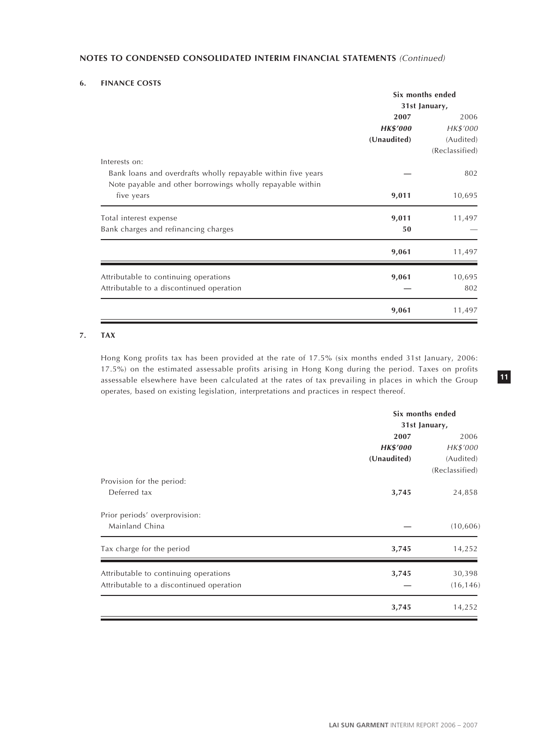#### **6. FINANCE COSTS**

|                                                              |                 | Six months ended |  |
|--------------------------------------------------------------|-----------------|------------------|--|
|                                                              | 31st January,   |                  |  |
|                                                              | 2007            | 2006             |  |
|                                                              | <b>HK\$'000</b> | HK\$'000         |  |
|                                                              | (Unaudited)     | (Audited)        |  |
|                                                              |                 | (Reclassified)   |  |
| Interests on:                                                |                 |                  |  |
| Bank loans and overdrafts wholly repayable within five years |                 | 802              |  |
| Note payable and other borrowings wholly repayable within    |                 |                  |  |
| five years                                                   | 9,011           | 10,695           |  |
| Total interest expense                                       | 9,011           | 11,497           |  |
| Bank charges and refinancing charges                         | 50              |                  |  |
|                                                              | 9,061           | 11,497           |  |
| Attributable to continuing operations                        | 9,061           | 10,695           |  |
| Attributable to a discontinued operation                     |                 | 802              |  |
|                                                              |                 |                  |  |
|                                                              | 9,061           | 11,497           |  |

# **7. TAX**

Hong Kong profits tax has been provided at the rate of 17.5% (six months ended 31st January, 2006: 17.5%) on the estimated assessable profits arising in Hong Kong during the period. Taxes on profits assessable elsewhere have been calculated at the rates of tax prevailing in places in which the Group operates, based on existing legislation, interpretations and practices in respect thereof.

|                                          |                 | Six months ended |
|------------------------------------------|-----------------|------------------|
|                                          |                 | 31st January,    |
|                                          | 2007            | 2006             |
|                                          | <b>HK\$'000</b> | HK\$'000         |
|                                          | (Unaudited)     | (Audited)        |
|                                          |                 | (Reclassified)   |
| Provision for the period:                |                 |                  |
| Deferred tax                             | 3,745           | 24,858           |
| Prior periods' overprovision:            |                 |                  |
| Mainland China                           |                 | (10, 606)        |
| Tax charge for the period                | 3,745           | 14,252           |
| Attributable to continuing operations    | 3,745           | 30,398           |
| Attributable to a discontinued operation |                 | (16, 146)        |
|                                          | 3,745           | 14,252           |
|                                          |                 |                  |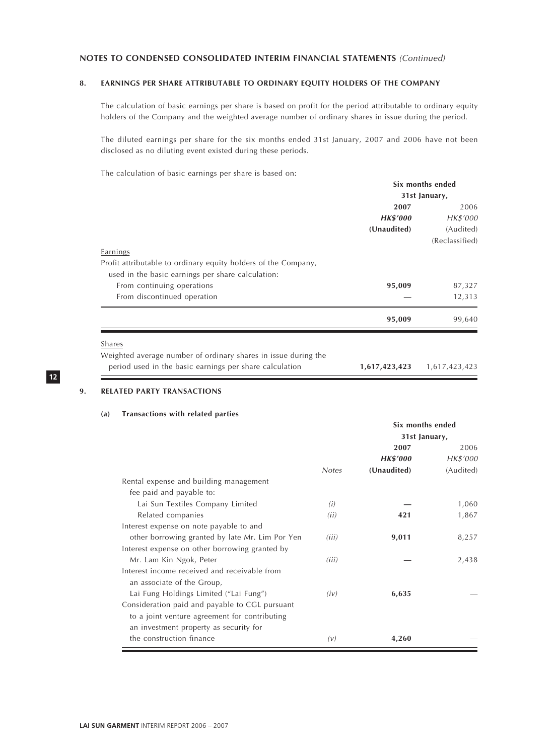# **8. EARNINGS PER SHARE ATTRIBUTABLE TO ORDINARY EQUITY HOLDERS OF THE COMPANY**

The calculation of basic earnings per share is based on profit for the period attributable to ordinary equity holders of the Company and the weighted average number of ordinary shares in issue during the period.

The diluted earnings per share for the six months ended 31st January, 2007 and 2006 have not been disclosed as no diluting event existed during these periods.

The calculation of basic earnings per share is based on:

|                                                                | Six months ended |                |  |
|----------------------------------------------------------------|------------------|----------------|--|
|                                                                | 31st January,    |                |  |
|                                                                | 2007             | 2006           |  |
|                                                                | <b>HK\$'000</b>  | HK\$'000       |  |
|                                                                | (Unaudited)      | (Audited)      |  |
|                                                                |                  | (Reclassified) |  |
| Earnings                                                       |                  |                |  |
| Profit attributable to ordinary equity holders of the Company, |                  |                |  |
| used in the basic earnings per share calculation:              |                  |                |  |
| From continuing operations                                     | 95,009           | 87,327         |  |
| From discontinued operation                                    |                  | 12,313         |  |
|                                                                | 95,009           | 99,640         |  |
| Shares                                                         |                  |                |  |
| Weighted average number of ordinary shares in issue during the |                  |                |  |
| period used in the basic earnings per share calculation        | 1,617,423,423    | 1,617,423,423  |  |

**12**

# **9. RELATED PARTY TRANSACTIONS**

#### **(a) Transactions with related parties**

|                                                 |              | Six months ended |           |  |
|-------------------------------------------------|--------------|------------------|-----------|--|
|                                                 |              | 31st January,    |           |  |
|                                                 |              | 2007             | 2006      |  |
|                                                 |              | <b>HK\$'000</b>  | HK\$'000  |  |
|                                                 | <b>Notes</b> | (Unaudited)      | (Audited) |  |
| Rental expense and building management          |              |                  |           |  |
| fee paid and payable to:                        |              |                  |           |  |
| Lai Sun Textiles Company Limited                | (i)          |                  | 1,060     |  |
| Related companies                               | (ii)         | 421              | 1,867     |  |
| Interest expense on note payable to and         |              |                  |           |  |
| other borrowing granted by late Mr. Lim Por Yen | (iii)        | 9,011            | 8,257     |  |
| Interest expense on other borrowing granted by  |              |                  |           |  |
| Mr. Lam Kin Ngok, Peter                         | (iii)        |                  | 2,438     |  |
| Interest income received and receivable from    |              |                  |           |  |
| an associate of the Group,                      |              |                  |           |  |
| Lai Fung Holdings Limited ("Lai Fung")          | (iv)         | 6,635            |           |  |
| Consideration paid and payable to CGL pursuant  |              |                  |           |  |
| to a joint venture agreement for contributing   |              |                  |           |  |
| an investment property as security for          |              |                  |           |  |
| the construction finance                        | (v)          | 4,260            |           |  |
|                                                 |              |                  |           |  |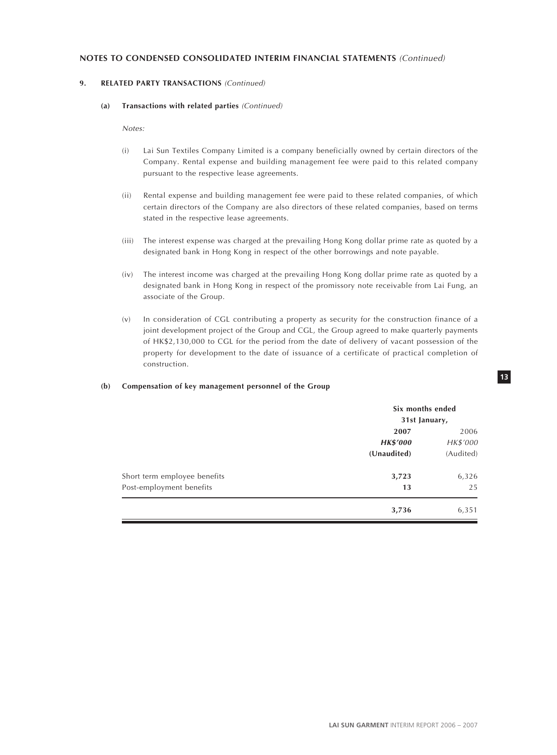# **9. RELATED PARTY TRANSACTIONS** (Continued)

#### **(a) Transactions with related parties** (Continued)

Notes:

- (i) Lai Sun Textiles Company Limited is a company beneficially owned by certain directors of the Company. Rental expense and building management fee were paid to this related company pursuant to the respective lease agreements.
- (ii) Rental expense and building management fee were paid to these related companies, of which certain directors of the Company are also directors of these related companies, based on terms stated in the respective lease agreements.
- (iii) The interest expense was charged at the prevailing Hong Kong dollar prime rate as quoted by a designated bank in Hong Kong in respect of the other borrowings and note payable.
- (iv) The interest income was charged at the prevailing Hong Kong dollar prime rate as quoted by a designated bank in Hong Kong in respect of the promissory note receivable from Lai Fung, an associate of the Group.
- (v) In consideration of CGL contributing a property as security for the construction finance of a joint development project of the Group and CGL, the Group agreed to make quarterly payments of HK\$2,130,000 to CGL for the period from the date of delivery of vacant possession of the property for development to the date of issuance of a certificate of practical completion of construction.

#### **(b) Compensation of key management personnel of the Group**

|                              | Six months ended<br>31st January, |           |  |
|------------------------------|-----------------------------------|-----------|--|
|                              | 2007                              | 2006      |  |
|                              | <b>HK\$'000</b>                   | HK\$'000  |  |
|                              | (Unaudited)                       | (Audited) |  |
| Short term employee benefits | 3,723                             | 6,326     |  |
| Post-employment benefits     | 13                                | 25        |  |
|                              | 3,736                             | 6,351     |  |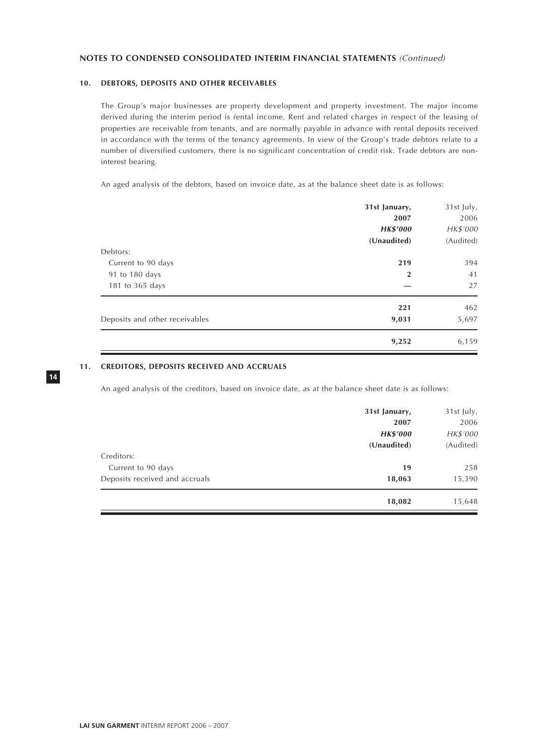# **10. DEBTORS, DEPOSITS AND OTHER RECEIVABLES**

The Group's major businesses are property development and property investment. The major income derived during the interim period is rental income. Rent and related charges in respect of the leasing of properties are receivable from tenants, and are normally payable in advance with rental deposits received in accordance with the terms of the tenancy agreements. In view of the Group's trade debtors relate to a number of diversified customers, there is no significant concentration of credit risk. Trade debtors are noninterest bearing.

An aged analysis of the debtors, based on invoice date, as at the balance sheet date is as follows:

|                                | 31st January,<br>2007<br><b>HK\$'000</b> | 31st July,<br>2006<br>HK\$'000 |
|--------------------------------|------------------------------------------|--------------------------------|
|                                | (Unaudited)                              | (Audited)                      |
| Debtors:<br>Current to 90 days | 219                                      | 394                            |
| 91 to 180 days                 | $\overline{2}$                           | 41                             |
| 181 to 365 days                |                                          | 27                             |
|                                | 221                                      | 462                            |
| Deposits and other receivables | 9,031                                    | 5,697                          |
|                                | 9,252                                    | 6,159                          |

# **11. CREDITORS, DEPOSITS RECEIVED AND ACCRUALS**

An aged analysis of the creditors, based on invoice date, as at the balance sheet date is as follows:

|                                | 31st January,<br>2007          | 31st July,<br>2006    |
|--------------------------------|--------------------------------|-----------------------|
|                                | <b>HK\$'000</b><br>(Unaudited) | HK\$'000<br>(Audited) |
| Creditors:                     |                                |                       |
| Current to 90 days             | 19                             | 258                   |
| Deposits received and accruals | 18,063                         | 15,390                |
|                                | 18,082                         | 15,648                |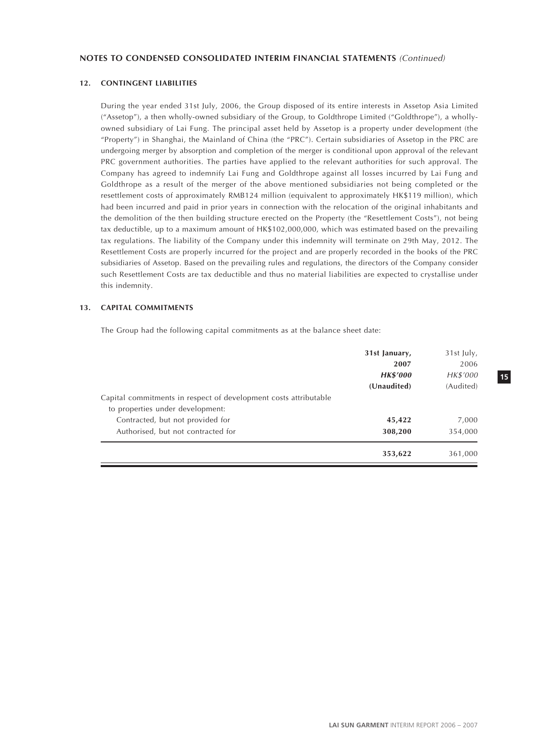# **12. CONTINGENT LIABILITIES**

During the year ended 31st July, 2006, the Group disposed of its entire interests in Assetop Asia Limited ("Assetop"), a then wholly-owned subsidiary of the Group, to Goldthrope Limited ("Goldthrope"), a whollyowned subsidiary of Lai Fung. The principal asset held by Assetop is a property under development (the "Property") in Shanghai, the Mainland of China (the "PRC"). Certain subsidiaries of Assetop in the PRC are undergoing merger by absorption and completion of the merger is conditional upon approval of the relevant PRC government authorities. The parties have applied to the relevant authorities for such approval. The Company has agreed to indemnify Lai Fung and Goldthrope against all losses incurred by Lai Fung and Goldthrope as a result of the merger of the above mentioned subsidiaries not being completed or the resettlement costs of approximately RMB124 million (equivalent to approximately HK\$119 million), which had been incurred and paid in prior years in connection with the relocation of the original inhabitants and the demolition of the then building structure erected on the Property (the "Resettlement Costs"), not being tax deductible, up to a maximum amount of HK\$102,000,000, which was estimated based on the prevailing tax regulations. The liability of the Company under this indemnity will terminate on 29th May, 2012. The Resettlement Costs are properly incurred for the project and are properly recorded in the books of the PRC subsidiaries of Assetop. Based on the prevailing rules and regulations, the directors of the Company consider such Resettlement Costs are tax deductible and thus no material liabilities are expected to crystallise under this indemnity.

#### **13. CAPITAL COMMITMENTS**

The Group had the following capital commitments as at the balance sheet date:

|                                                                  | 31st January,   | 31st July, |
|------------------------------------------------------------------|-----------------|------------|
|                                                                  | 2007            | 2006       |
|                                                                  | <b>HK\$'000</b> | HK\$'000   |
|                                                                  | (Unaudited)     | (Audited)  |
| Capital commitments in respect of development costs attributable |                 |            |
| to properties under development:                                 |                 |            |
| Contracted, but not provided for                                 | 45,422          | 7,000      |
| Authorised, but not contracted for                               | 308,200         | 354,000    |
|                                                                  | 353,622         | 361,000    |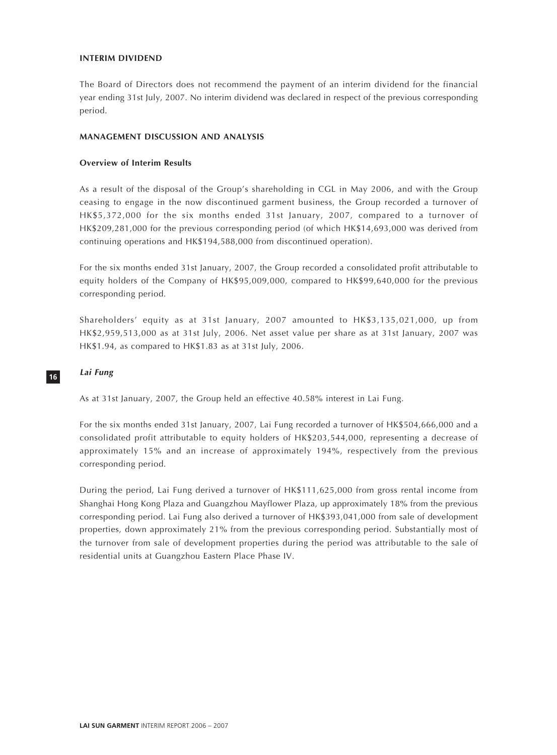# **INTERIM DIVIDEND**

The Board of Directors does not recommend the payment of an interim dividend for the financial year ending 31st July, 2007. No interim dividend was declared in respect of the previous corresponding period.

#### **MANAGEMENT DISCUSSION AND ANALYSIS**

# **Overview of Interim Results**

As a result of the disposal of the Group's shareholding in CGL in May 2006, and with the Group ceasing to engage in the now discontinued garment business, the Group recorded a turnover of HK\$5,372,000 for the six months ended 31st January, 2007, compared to a turnover of HK\$209,281,000 for the previous corresponding period (of which HK\$14,693,000 was derived from continuing operations and HK\$194,588,000 from discontinued operation).

For the six months ended 31st January, 2007, the Group recorded a consolidated profit attributable to equity holders of the Company of HK\$95,009,000, compared to HK\$99,640,000 for the previous corresponding period.

Shareholders' equity as at 31st January, 2007 amounted to HK\$3,135,021,000, up from HK\$2,959,513,000 as at 31st July, 2006. Net asset value per share as at 31st January, 2007 was HK\$1.94, as compared to HK\$1.83 as at 31st July, 2006.

# **16**

#### **Lai Fung**

As at 31st January, 2007, the Group held an effective 40.58% interest in Lai Fung.

For the six months ended 31st January, 2007, Lai Fung recorded a turnover of HK\$504,666,000 and a consolidated profit attributable to equity holders of HK\$203,544,000, representing a decrease of approximately 15% and an increase of approximately 194%, respectively from the previous corresponding period.

During the period, Lai Fung derived a turnover of HK\$111,625,000 from gross rental income from Shanghai Hong Kong Plaza and Guangzhou Mayflower Plaza, up approximately 18% from the previous corresponding period. Lai Fung also derived a turnover of HK\$393,041,000 from sale of development properties, down approximately 21% from the previous corresponding period. Substantially most of the turnover from sale of development properties during the period was attributable to the sale of residential units at Guangzhou Eastern Place Phase IV.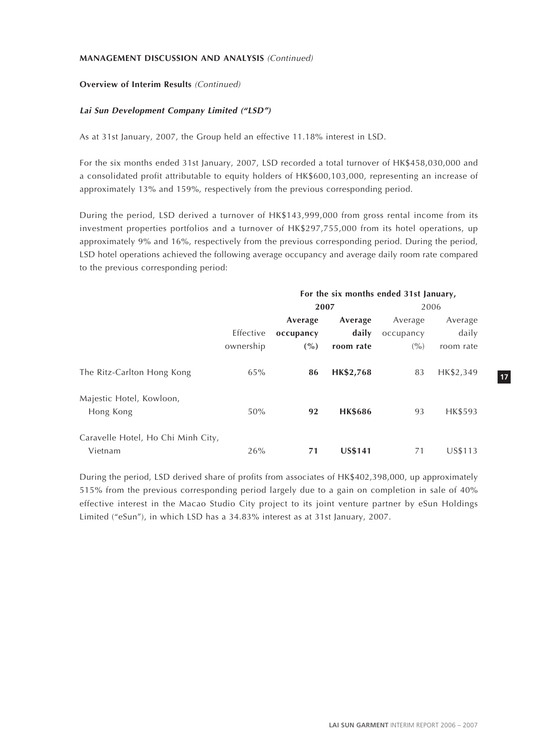# **Overview of Interim Results** (Continued)

# **Lai Sun Development Company Limited ("LSD")**

As at 31st January, 2007, the Group held an effective 11.18% interest in LSD.

For the six months ended 31st January, 2007, LSD recorded a total turnover of HK\$458,030,000 and a consolidated profit attributable to equity holders of HK\$600,103,000, representing an increase of approximately 13% and 159%, respectively from the previous corresponding period.

During the period, LSD derived a turnover of HK\$143,999,000 from gross rental income from its investment properties portfolios and a turnover of HK\$297,755,000 from its hotel operations, up approximately 9% and 16%, respectively from the previous corresponding period. During the period, LSD hotel operations achieved the following average occupancy and average daily room rate compared to the previous corresponding period:

|                                    |           | For the six months ended 31st January, |                |           |           |
|------------------------------------|-----------|----------------------------------------|----------------|-----------|-----------|
|                                    |           | 2007                                   |                |           | 2006      |
|                                    |           | Average                                | Average        | Average   | Average   |
|                                    | Effective | occupancy                              | daily          | occupancy | daily     |
|                                    | ownership | $($ %)                                 | room rate      | (9/0)     | room rate |
| The Ritz-Carlton Hong Kong         | 65%       | 86                                     | HK\$2,768      | 83        | HK\$2,349 |
| Majestic Hotel, Kowloon,           |           |                                        |                |           |           |
| Hong Kong                          | 50%       | 92                                     | <b>HK\$686</b> | 93        | HK\$593   |
| Caravelle Hotel, Ho Chi Minh City, |           |                                        |                |           |           |
| Vietnam                            | 26%       | 71                                     | <b>US\$141</b> | 71        | US\$113   |

During the period, LSD derived share of profits from associates of HK\$402,398,000, up approximately 515% from the previous corresponding period largely due to a gain on completion in sale of 40% effective interest in the Macao Studio City project to its joint venture partner by eSun Holdings Limited ("eSun"), in which LSD has a 34.83% interest as at 31st January, 2007.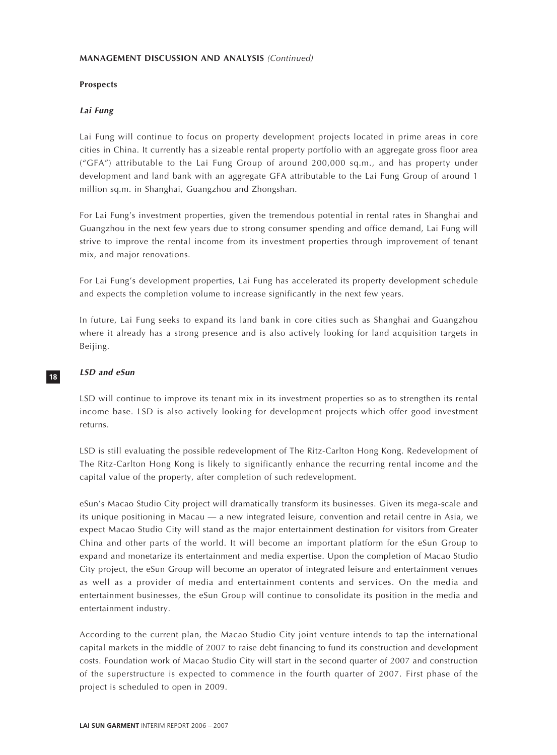# **Prospects**

# **Lai Fung**

Lai Fung will continue to focus on property development projects located in prime areas in core cities in China. It currently has a sizeable rental property portfolio with an aggregate gross floor area ("GFA") attributable to the Lai Fung Group of around 200,000 sq.m., and has property under development and land bank with an aggregate GFA attributable to the Lai Fung Group of around 1 million sq.m. in Shanghai, Guangzhou and Zhongshan.

For Lai Fung's investment properties, given the tremendous potential in rental rates in Shanghai and Guangzhou in the next few years due to strong consumer spending and office demand, Lai Fung will strive to improve the rental income from its investment properties through improvement of tenant mix, and major renovations.

For Lai Fung's development properties, Lai Fung has accelerated its property development schedule and expects the completion volume to increase significantly in the next few years.

In future, Lai Fung seeks to expand its land bank in core cities such as Shanghai and Guangzhou where it already has a strong presence and is also actively looking for land acquisition targets in Beijing.

#### **LSD and eSun**

**18**

LSD will continue to improve its tenant mix in its investment properties so as to strengthen its rental income base. LSD is also actively looking for development projects which offer good investment returns.

LSD is still evaluating the possible redevelopment of The Ritz-Carlton Hong Kong. Redevelopment of The Ritz-Carlton Hong Kong is likely to significantly enhance the recurring rental income and the capital value of the property, after completion of such redevelopment.

eSun's Macao Studio City project will dramatically transform its businesses. Given its mega-scale and its unique positioning in Macau — a new integrated leisure, convention and retail centre in Asia, we expect Macao Studio City will stand as the major entertainment destination for visitors from Greater China and other parts of the world. It will become an important platform for the eSun Group to expand and monetarize its entertainment and media expertise. Upon the completion of Macao Studio City project, the eSun Group will become an operator of integrated leisure and entertainment venues as well as a provider of media and entertainment contents and services. On the media and entertainment businesses, the eSun Group will continue to consolidate its position in the media and entertainment industry.

According to the current plan, the Macao Studio City joint venture intends to tap the international capital markets in the middle of 2007 to raise debt financing to fund its construction and development costs. Foundation work of Macao Studio City will start in the second quarter of 2007 and construction of the superstructure is expected to commence in the fourth quarter of 2007. First phase of the project is scheduled to open in 2009.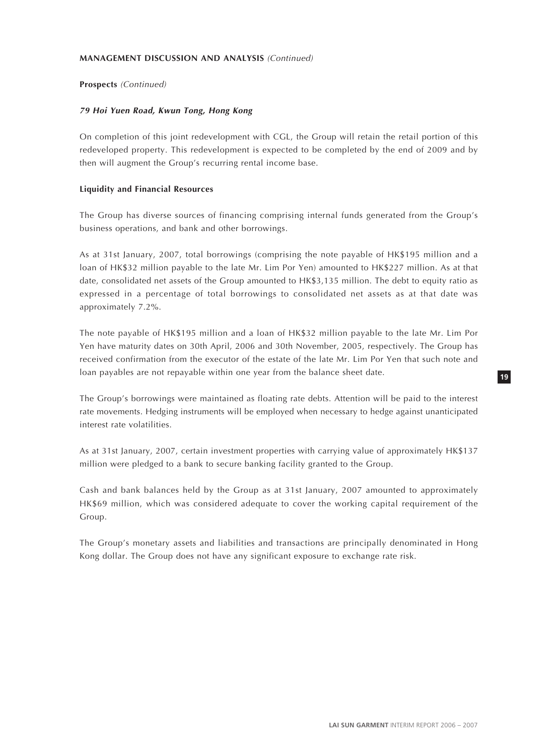# **Prospects** (Continued)

#### **79 Hoi Yuen Road, Kwun Tong, Hong Kong**

On completion of this joint redevelopment with CGL, the Group will retain the retail portion of this redeveloped property. This redevelopment is expected to be completed by the end of 2009 and by then will augment the Group's recurring rental income base.

#### **Liquidity and Financial Resources**

The Group has diverse sources of financing comprising internal funds generated from the Group's business operations, and bank and other borrowings.

As at 31st January, 2007, total borrowings (comprising the note payable of HK\$195 million and a loan of HK\$32 million payable to the late Mr. Lim Por Yen) amounted to HK\$227 million. As at that date, consolidated net assets of the Group amounted to HK\$3,135 million. The debt to equity ratio as expressed in a percentage of total borrowings to consolidated net assets as at that date was approximately 7.2%.

The note payable of HK\$195 million and a loan of HK\$32 million payable to the late Mr. Lim Por Yen have maturity dates on 30th April, 2006 and 30th November, 2005, respectively. The Group has received confirmation from the executor of the estate of the late Mr. Lim Por Yen that such note and loan payables are not repayable within one year from the balance sheet date.

The Group's borrowings were maintained as floating rate debts. Attention will be paid to the interest rate movements. Hedging instruments will be employed when necessary to hedge against unanticipated interest rate volatilities.

As at 31st January, 2007, certain investment properties with carrying value of approximately HK\$137 million were pledged to a bank to secure banking facility granted to the Group.

Cash and bank balances held by the Group as at 31st January, 2007 amounted to approximately HK\$69 million, which was considered adequate to cover the working capital requirement of the Group.

The Group's monetary assets and liabilities and transactions are principally denominated in Hong Kong dollar. The Group does not have any significant exposure to exchange rate risk.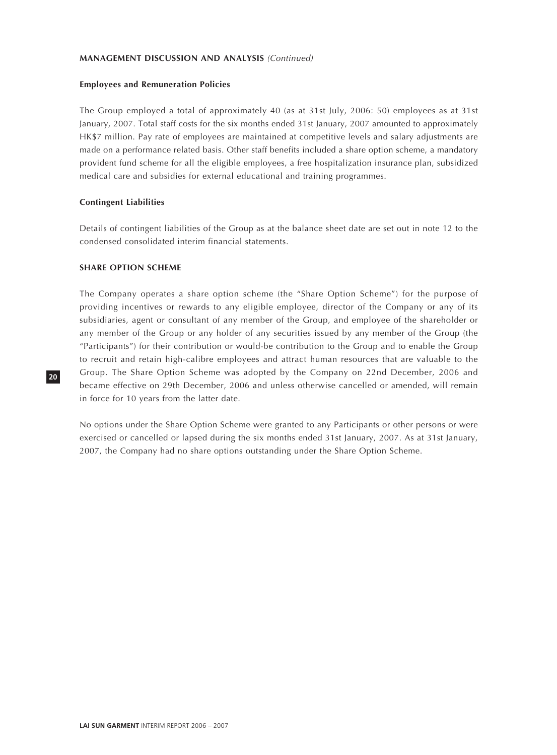# **Employees and Remuneration Policies**

The Group employed a total of approximately 40 (as at 31st July, 2006: 50) employees as at 31st January, 2007. Total staff costs for the six months ended 31st January, 2007 amounted to approximately HK\$7 million. Pay rate of employees are maintained at competitive levels and salary adjustments are made on a performance related basis. Other staff benefits included a share option scheme, a mandatory provident fund scheme for all the eligible employees, a free hospitalization insurance plan, subsidized medical care and subsidies for external educational and training programmes.

#### **Contingent Liabilities**

Details of contingent liabilities of the Group as at the balance sheet date are set out in note 12 to the condensed consolidated interim financial statements.

### **SHARE OPTION SCHEME**

The Company operates a share option scheme (the "Share Option Scheme") for the purpose of providing incentives or rewards to any eligible employee, director of the Company or any of its subsidiaries, agent or consultant of any member of the Group, and employee of the shareholder or any member of the Group or any holder of any securities issued by any member of the Group (the "Participants") for their contribution or would-be contribution to the Group and to enable the Group to recruit and retain high-calibre employees and attract human resources that are valuable to the Group. The Share Option Scheme was adopted by the Company on 22nd December, 2006 and became effective on 29th December, 2006 and unless otherwise cancelled or amended, will remain in force for 10 years from the latter date.

No options under the Share Option Scheme were granted to any Participants or other persons or were exercised or cancelled or lapsed during the six months ended 31st January, 2007. As at 31st January, 2007, the Company had no share options outstanding under the Share Option Scheme.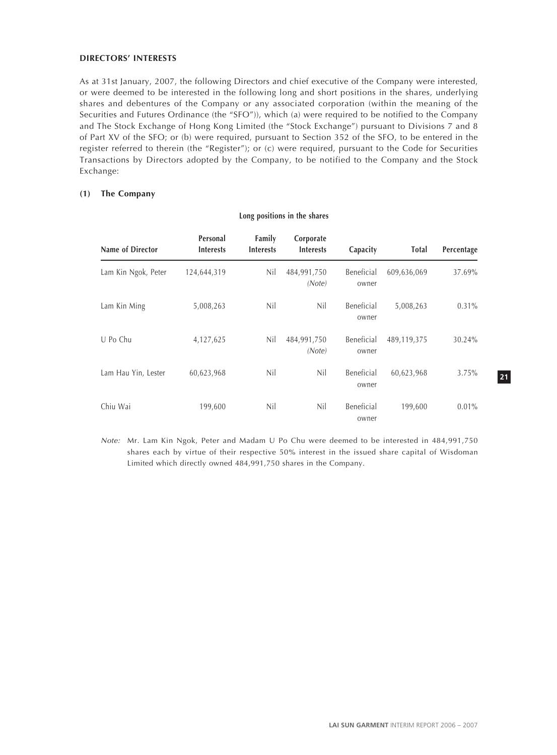#### **DIRECTORS' INTERESTS**

As at 31st January, 2007, the following Directors and chief executive of the Company were interested, or were deemed to be interested in the following long and short positions in the shares, underlying shares and debentures of the Company or any associated corporation (within the meaning of the Securities and Futures Ordinance (the "SFO")), which (a) were required to be notified to the Company and The Stock Exchange of Hong Kong Limited (the "Stock Exchange") pursuant to Divisions 7 and 8 of Part XV of the SFO; or (b) were required, pursuant to Section 352 of the SFO, to be entered in the register referred to therein (the "Register"); or (c) were required, pursuant to the Code for Securities Transactions by Directors adopted by the Company, to be notified to the Company and the Stock Exchange:

# **(1) The Company**

| Name of Director    | Personal<br><b>Interests</b> | Family<br><b>Interests</b> | Corporate<br><b>Interests</b> | Capacity            | Total       | Percentage |
|---------------------|------------------------------|----------------------------|-------------------------------|---------------------|-------------|------------|
| Lam Kin Ngok, Peter | 124,644,319                  | Nil                        | 484,991,750<br>(Note)         | Beneficial<br>owner | 609,636,069 | 37.69%     |
| Lam Kin Ming        | 5,008,263                    | Nil                        | Nil                           | Beneficial<br>owner | 5,008,263   | $0.31\%$   |
| U Po Chu            | 4,127,625                    | Nil                        | 484,991,750<br>(Note)         | Beneficial<br>owner | 489,119,375 | 30.24%     |
| Lam Hau Yin, Lester | 60,623,968                   | Nil                        | Nil                           | Beneficial<br>owner | 60,623,968  | $3.75\%$   |
| Chiu Wai            | 199,600                      | Nil                        | Nil                           | Beneficial<br>owner | 199,600     | $0.01\%$   |

#### **Long positions in the shares**

Note: Mr. Lam Kin Ngok, Peter and Madam U Po Chu were deemed to be interested in 484,991,750 shares each by virtue of their respective 50% interest in the issued share capital of Wisdoman Limited which directly owned 484,991,750 shares in the Company.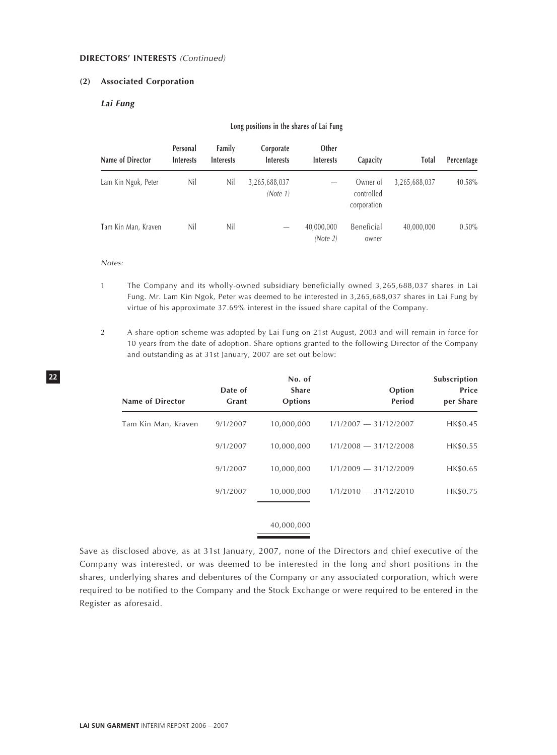#### **DIRECTORS' INTERESTS** (Continued)

#### **(2) Associated Corporation**

# **Lai Fung**

#### **Long positions in the shares of Lai Fung**

| Name of Director    | Personal<br><b>Interests</b> | Family<br><b>Interests</b> | Corporate<br><b>Interests</b> | Other<br><b>Interests</b> | Capacity                              | <b>Total</b>  | Percentage |
|---------------------|------------------------------|----------------------------|-------------------------------|---------------------------|---------------------------------------|---------------|------------|
| Lam Kin Ngok, Peter | Nil                          | Nil                        | 3,265,688,037<br>(Note 1)     |                           | Owner of<br>controlled<br>corporation | 3,265,688,037 | 40.58%     |
| Tam Kin Man, Kraven | Nil                          | Nil                        |                               | 40,000,000<br>(Note 2)    | Beneficial<br>owner                   | 40,000,000    | $0.50\%$   |

#### Notes:

- 1 The Company and its wholly-owned subsidiary beneficially owned 3,265,688,037 shares in Lai Fung. Mr. Lam Kin Ngok, Peter was deemed to be interested in 3,265,688,037 shares in Lai Fung by virtue of his approximate 37.69% interest in the issued share capital of the Company.
- 2 A share option scheme was adopted by Lai Fung on 21st August, 2003 and will remain in force for 10 years from the date of adoption. Share options granted to the following Director of the Company and outstanding as at 31st January, 2007 are set out below:

| <b>Name of Director</b> | Date of<br>Grant | No. of<br><b>Share</b><br><b>Options</b> | Option<br>Period        | Subscription<br>Price<br>per Share |
|-------------------------|------------------|------------------------------------------|-------------------------|------------------------------------|
| Tam Kin Man, Kraven     | 9/1/2007         | 10,000,000                               | $1/1/2007 - 31/12/2007$ | HK\$0.45                           |
|                         | 9/1/2007         | 10,000,000                               | $1/1/2008 - 31/12/2008$ | HK\$0.55                           |
|                         | 9/1/2007         | 10,000,000                               | $1/1/2009 - 31/12/2009$ | HK\$0.65                           |
|                         | 9/1/2007         | 10,000,000                               | $1/1/2010 - 31/12/2010$ | HK\$0.75                           |
|                         |                  | 40,000,000                               |                         |                                    |

Save as disclosed above, as at 31st January, 2007, none of the Directors and chief executive of the Company was interested, or was deemed to be interested in the long and short positions in the shares, underlying shares and debentures of the Company or any associated corporation, which were required to be notified to the Company and the Stock Exchange or were required to be entered in the Register as aforesaid.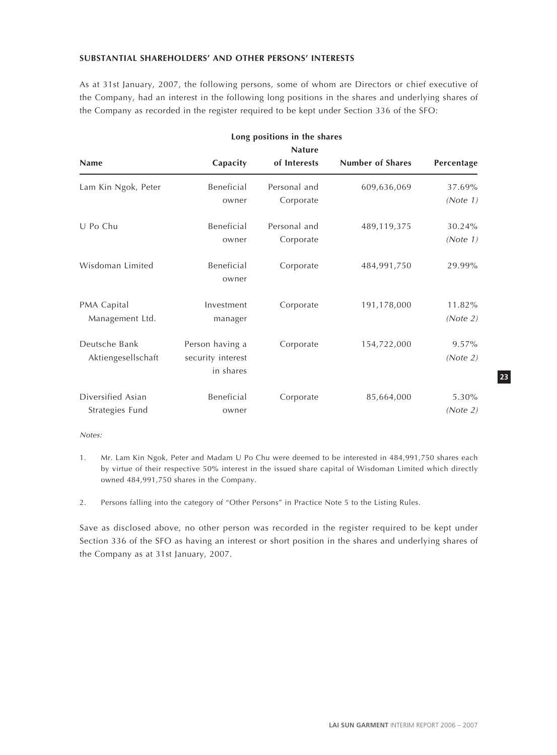# **SUBSTANTIAL SHAREHOLDERS' AND OTHER PERSONS' INTERESTS**

As at 31st January, 2007, the following persons, some of whom are Directors or chief executive of the Company, had an interest in the following long positions in the shares and underlying shares of the Company as recorded in the register required to be kept under Section 336 of the SFO:

| Long positions in the shares<br><b>Nature</b> |                                                   |                           |                         |                      |  |  |
|-----------------------------------------------|---------------------------------------------------|---------------------------|-------------------------|----------------------|--|--|
| <b>Name</b>                                   | Capacity                                          | of Interests              | <b>Number of Shares</b> | Percentage           |  |  |
| Lam Kin Ngok, Peter                           | Beneficial<br>owner                               | Personal and<br>Corporate | 609,636,069             | 37.69%<br>(Note 1)   |  |  |
| U Po Chu                                      | Beneficial<br>owner                               | Personal and<br>Corporate | 489,119,375             | 30.24%<br>(Note 1)   |  |  |
| Wisdoman Limited                              | Beneficial<br>owner                               | Corporate                 | 484,991,750             | 29.99%               |  |  |
| PMA Capital<br>Management Ltd.                | Investment<br>manager                             | Corporate                 | 191,178,000             | 11.82%<br>(Note 2)   |  |  |
| Deutsche Bank<br>Aktiengesellschaft           | Person having a<br>security interest<br>in shares | Corporate                 | 154,722,000             | $9.57\%$<br>(Note 2) |  |  |
| Diversified Asian<br>Strategies Fund          | Beneficial<br>owner                               | Corporate                 | 85,664,000              | 5.30%<br>(Note 2)    |  |  |

Notes:

- 1. Mr. Lam Kin Ngok, Peter and Madam U Po Chu were deemed to be interested in 484,991,750 shares each by virtue of their respective 50% interest in the issued share capital of Wisdoman Limited which directly owned 484,991,750 shares in the Company.
- 2. Persons falling into the category of "Other Persons" in Practice Note 5 to the Listing Rules.

Save as disclosed above, no other person was recorded in the register required to be kept under Section 336 of the SFO as having an interest or short position in the shares and underlying shares of the Company as at 31st January, 2007.